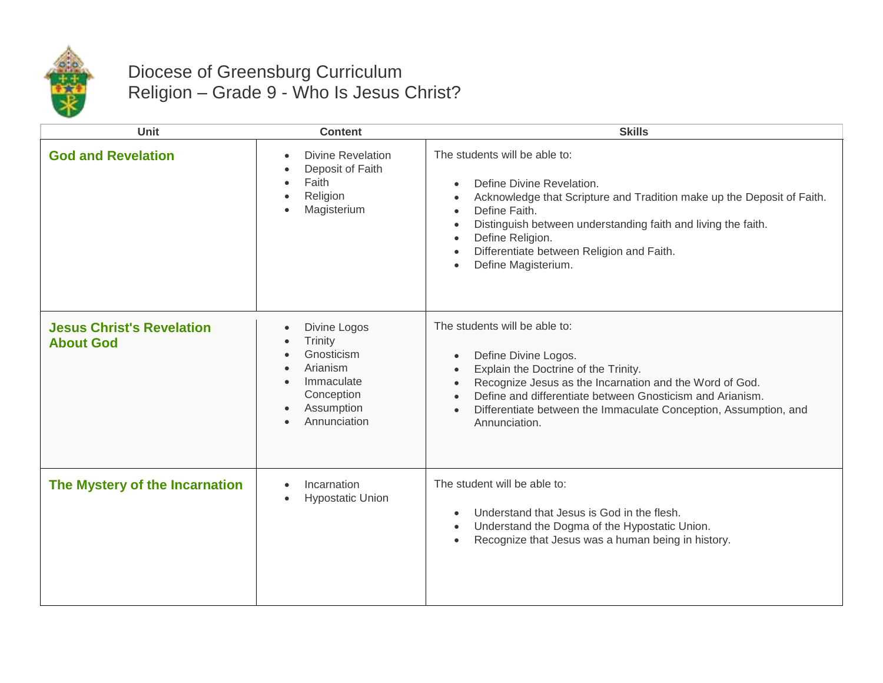

## Diocese of Greensburg Curriculum Religion – Grade 9 - Who Is Jesus Christ?

| Unit                                                 | <b>Content</b>                                                                                                                                                                            | <b>Skills</b>                                                                                                                                                                                                                                                                                                                                                      |
|------------------------------------------------------|-------------------------------------------------------------------------------------------------------------------------------------------------------------------------------------------|--------------------------------------------------------------------------------------------------------------------------------------------------------------------------------------------------------------------------------------------------------------------------------------------------------------------------------------------------------------------|
| <b>God and Revelation</b>                            | <b>Divine Revelation</b><br>$\bullet$<br>Deposit of Faith<br>Faith<br>$\bullet$<br>Religion<br>$\bullet$<br>Magisterium<br>$\bullet$                                                      | The students will be able to:<br>Define Divine Revelation.<br>$\bullet$<br>Acknowledge that Scripture and Tradition make up the Deposit of Faith.<br>$\bullet$<br>Define Faith.<br>$\bullet$<br>Distinguish between understanding faith and living the faith.<br>Define Religion.<br>Differentiate between Religion and Faith.<br>Define Magisterium.<br>$\bullet$ |
| <b>Jesus Christ's Revelation</b><br><b>About God</b> | Divine Logos<br>$\bullet$<br>Trinity<br>$\bullet$<br>Gnosticism<br>$\bullet$<br>Arianism<br>$\bullet$<br>Immaculate<br>$\bullet$<br>Conception<br>Assumption<br>Annunciation<br>$\bullet$ | The students will be able to:<br>Define Divine Logos.<br>$\bullet$<br>Explain the Doctrine of the Trinity.<br>Recognize Jesus as the Incarnation and the Word of God.<br>Define and differentiate between Gnosticism and Arianism.<br>Differentiate between the Immaculate Conception, Assumption, and<br>$\bullet$<br>Annunciation.                               |
| The Mystery of the Incarnation                       | Incarnation<br>$\bullet$<br><b>Hypostatic Union</b><br>$\bullet$                                                                                                                          | The student will be able to:<br>Understand that Jesus is God in the flesh.<br>Understand the Dogma of the Hypostatic Union.<br>$\bullet$<br>Recognize that Jesus was a human being in history.<br>$\bullet$                                                                                                                                                        |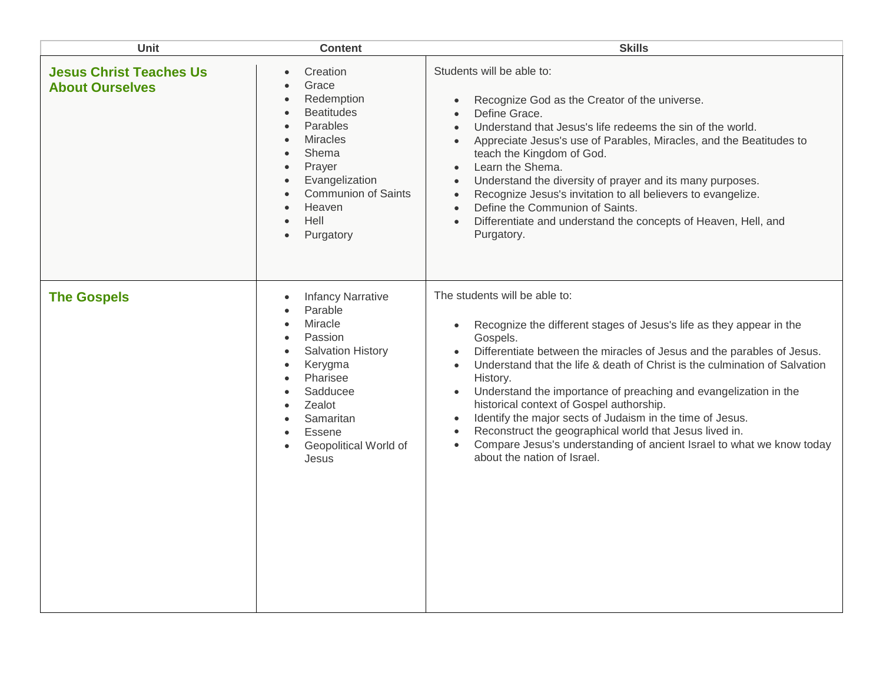| <b>Unit</b>                                              | <b>Content</b>                                                                                                                                                                                                                                                                                                                       | <b>Skills</b>                                                                                                                                                                                                                                                                                                                                                                                                                                                                                                                                                                                                                                                                                          |
|----------------------------------------------------------|--------------------------------------------------------------------------------------------------------------------------------------------------------------------------------------------------------------------------------------------------------------------------------------------------------------------------------------|--------------------------------------------------------------------------------------------------------------------------------------------------------------------------------------------------------------------------------------------------------------------------------------------------------------------------------------------------------------------------------------------------------------------------------------------------------------------------------------------------------------------------------------------------------------------------------------------------------------------------------------------------------------------------------------------------------|
| <b>Jesus Christ Teaches Us</b><br><b>About Ourselves</b> | Creation<br>$\bullet$<br>Grace<br>$\bullet$<br>Redemption<br>$\bullet$<br><b>Beatitudes</b><br>$\bullet$<br>Parables<br>$\bullet$<br><b>Miracles</b><br>$\bullet$<br>Shema<br>$\bullet$<br>Prayer<br>$\bullet$<br>Evangelization<br>$\bullet$<br><b>Communion of Saints</b><br>Heaven<br>Hell<br>$\bullet$<br>Purgatory<br>$\bullet$ | Students will be able to:<br>Recognize God as the Creator of the universe.<br>Define Grace.<br>$\bullet$<br>Understand that Jesus's life redeems the sin of the world.<br>Appreciate Jesus's use of Parables, Miracles, and the Beatitudes to<br>teach the Kingdom of God.<br>Learn the Shema.<br>$\bullet$<br>Understand the diversity of prayer and its many purposes.<br>Recognize Jesus's invitation to all believers to evangelize.<br>$\bullet$<br>Define the Communion of Saints.<br>Differentiate and understand the concepts of Heaven, Hell, and<br>$\bullet$<br>Purgatory.                                                                                                                  |
| <b>The Gospels</b>                                       | <b>Infancy Narrative</b><br>$\bullet$<br>Parable<br>$\bullet$<br>Miracle<br>$\bullet$<br>Passion<br>$\bullet$<br><b>Salvation History</b><br>$\bullet$<br>Kerygma<br>$\bullet$<br>Pharisee<br>$\bullet$<br>Sadducee<br>$\bullet$<br>Zealot<br>$\bullet$<br>Samaritan<br>Essene<br>Geopolitical World of<br>Jesus                     | The students will be able to:<br>Recognize the different stages of Jesus's life as they appear in the<br>$\bullet$<br>Gospels.<br>Differentiate between the miracles of Jesus and the parables of Jesus.<br>$\bullet$<br>Understand that the life & death of Christ is the culmination of Salvation<br>$\bullet$<br>History.<br>Understand the importance of preaching and evangelization in the<br>historical context of Gospel authorship.<br>Identify the major sects of Judaism in the time of Jesus.<br>$\bullet$<br>Reconstruct the geographical world that Jesus lived in.<br>Compare Jesus's understanding of ancient Israel to what we know today<br>$\bullet$<br>about the nation of Israel. |